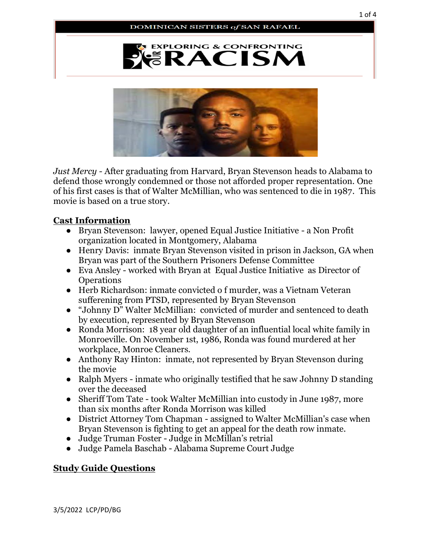



*Just Mercy -* After graduating from Harvard, Bryan Stevenson heads to Alabama to defend those wrongly condemned or those not afforded proper representation. One of his first cases is that of Walter McMillian, who was sentenced to die in 1987*.* This movie is based on a true story.

## **Cast Information**

- Bryan Stevenson: lawyer, opened Equal Justice Initiative a Non Profit organization located in Montgomery, Alabama
- Henry Davis: inmate Bryan Stevenson visited in prison in Jackson, GA when Bryan was part of the Southern Prisoners Defense Committee
- Eva Ansley worked with Bryan at Equal Justice Initiative as Director of **Operations**
- Herb Richardson: inmate convicted o f murder, was a Vietnam Veteran sufferening from PTSD, represented by Bryan Stevenson
- "Johnny D" Walter McMillian: convicted of murder and sentenced to death by execution, represented by Bryan Stevenson
- Ronda Morrison: 18 year old daughter of an influential local white family in Monroeville. On November 1st, 1986, Ronda was found murdered at her workplace, Monroe Cleaners.
- Anthony Ray Hinton: inmate, not represented by Bryan Stevenson during the movie
- Ralph Myers inmate who originally testified that he saw Johnny D standing over the deceased
- Sheriff Tom Tate took Walter McMillian into custody in June 1987, more than six months after Ronda Morrison was killed
- District Attorney Tom Chapman assigned to Walter McMillian's case when Bryan Stevenson is fighting to get an appeal for the death row inmate.
- Judge Truman Foster Judge in McMillan's retrial
- Judge Pamela Baschab Alabama Supreme Court Judge

## **Study Guide Questions**

3/5/2022 LCP/PD/BG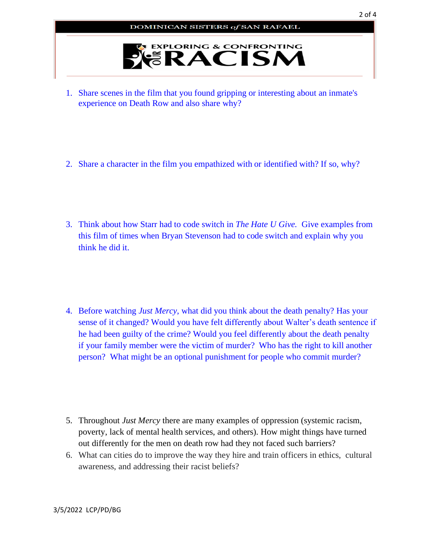

- 1. Share scenes in the film that you found gripping or interesting about an inmate's experience on Death Row and also share why?
- 2. Share a character in the film you empathized with or identified with? If so, why?
- 3. Think about how Starr had to code switch in *The Hate U Give.* Give examples from this film of times when Bryan Stevenson had to code switch and explain why you think he did it.
- 4. Before watching *Just Mercy*, what did you think about the death penalty? Has your sense of it changed? Would you have felt differently about Walter's death sentence if he had been guilty of the crime? Would you feel differently about the death penalty if your family member were the victim of murder? Who has the right to kill another person? What might be an optional punishment for people who commit murder?
- 5. Throughout *Just Mercy* there are many examples of oppression (systemic racism, poverty, lack of mental health services, and others). How might things have turned out differently for the men on death row had they not faced such barriers?
- 6. What can cities do to improve the way they hire and train officers in ethics, cultural awareness, and addressing their racist beliefs?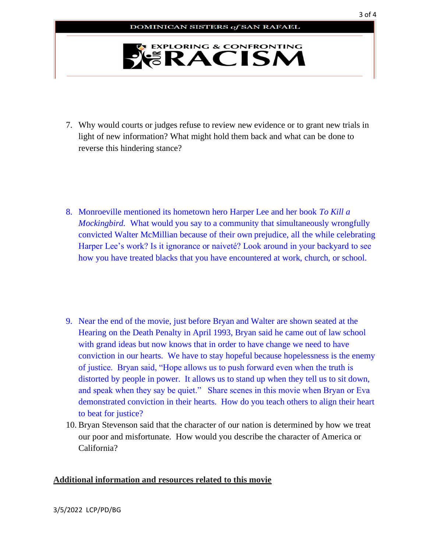

- 7. Why would courts or judges refuse to review new evidence or to grant new trials in light of new information? What might hold them back and what can be done to reverse this hindering stance?
- 8. Monroeville mentioned its hometown hero Harper Lee and her book *To Kill a Mockingbird.* What would you say to a community that simultaneously wrongfully convicted Walter McMillian because of their own prejudice, all the while celebrating Harper Lee's work? Is it ignorance or naiveté? Look around in your backyard to see how you have treated blacks that you have encountered at work, church, or school.

- 9. Near the end of the movie, just before Bryan and Walter are shown seated at the Hearing on the Death Penalty in April 1993, Bryan said he came out of law school with grand ideas but now knows that in order to have change we need to have conviction in our hearts. We have to stay hopeful because hopelessness is the enemy of justice. Bryan said, "Hope allows us to push forward even when the truth is distorted by people in power. It allows us to stand up when they tell us to sit down, and speak when they say be quiet." Share scenes in this movie when Bryan or Eva demonstrated conviction in their hearts. How do you teach others to align their heart to beat for justice?
- 10. Bryan Stevenson said that the character of our nation is determined by how we treat our poor and misfortunate. How would you describe the character of America or California?

## **Additional information and resources related to this movie**

3/5/2022 LCP/PD/BG